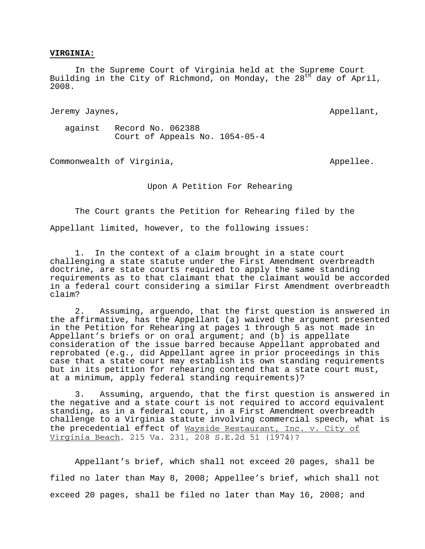## **VIRGINIA:**

 In the Supreme Court of Virginia held at the Supreme Court Building in the City of Richmond, on Monday, the  $28<sup>th</sup>$  day of April, 2008.

Jeremy Jaynes, Appellant, Appellant, Appellant, Appellant, Appellant, Appellant, Appellant, Appellant, Appellant, Appellant, Appellant, Appellant, Appellant, Appellant, Appellant, Appellant, Appellant, Appellant, Appellant

 against Record No. 062388 Court of Appeals No. 1054-05-4

Commonwealth of Virginia, and the common version of  $\lambda$ 

Upon A Petition For Rehearing

 The Court grants the Petition for Rehearing filed by the Appellant limited, however, to the following issues:

1. In the context of a claim brought in a state court challenging a state statute under the First Amendment overbreadth doctrine, are state courts required to apply the same standing requirements as to that claimant that the claimant would be accorded in a federal court considering a similar First Amendment overbreadth claim?

2. Assuming, arguendo, that the first question is answered in the affirmative, has the Appellant (a) waived the argument presented in the Petition for Rehearing at pages 1 through 5 as not made in Appellant's briefs or on oral argument; and (b) is appellate consideration of the issue barred because Appellant approbated and reprobated (e.g., did Appellant agree in prior proceedings in this case that a state court may establish its own standing requirements but in its petition for rehearing contend that a state court must, at a minimum, apply federal standing requirements)?

3. Assuming, arguendo, that the first question is answered in the negative and a state court is not required to accord equivalent standing, as in a federal court, in a First Amendment overbreadth challenge to a Virginia statute involving commercial speech, what is the precedential effect of Wayside Restaurant, Inc. v. City of Virginia Beach, 215 Va. 231, 208 S.E.2d 51 (1974)?

 Appellant's brief, which shall not exceed 20 pages, shall be filed no later than May 8, 2008; Appellee's brief, which shall not exceed 20 pages, shall be filed no later than May 16, 2008; and